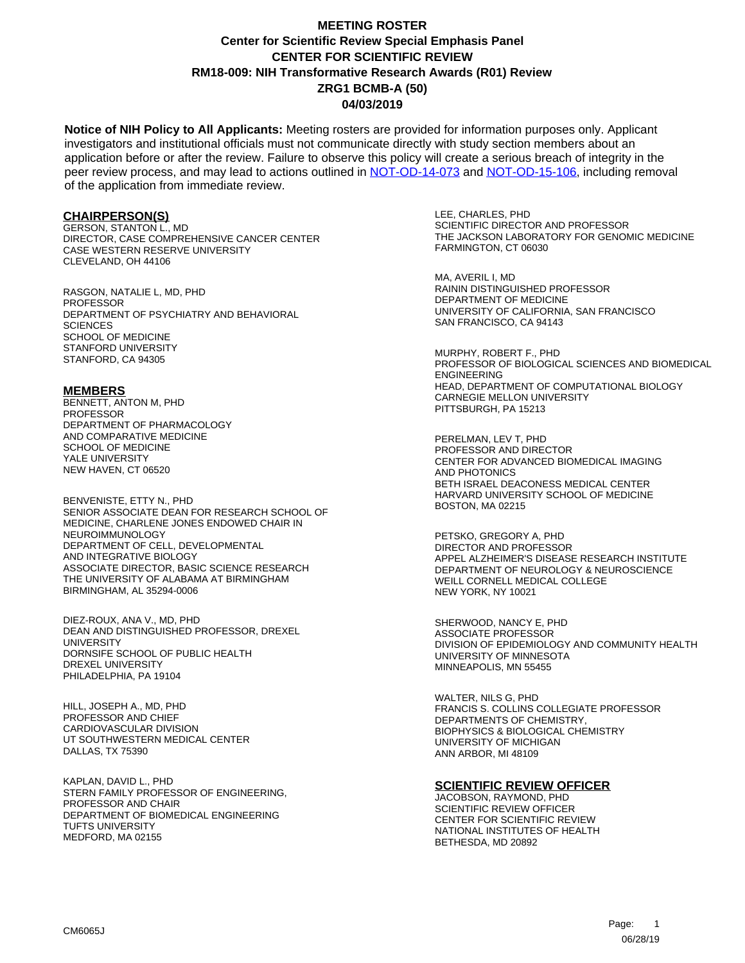## **Center for Scientific Review Special Emphasis Panel CENTER FOR SCIENTIFIC REVIEW ZRG1 BCMB-A (50) 04/03/2019 MEETING ROSTER RM18-009: NIH Transformative Research Awards (R01) Review**

**Notice of NIH Policy to All Applicants:** Meeting rosters are provided for information purposes only. Applicant investigators and institutional officials must not communicate directly with study section members about an application before or after the review. Failure to observe this policy will create a serious breach of integrity in the peer review process, and may lead to actions outlined in [NOT-OD-14-073](https://grants.nih.gov/grants/guide/notice-files/NOT-OD-14-073.html) and [NOT-OD-15-106,](https://grants.nih.gov/grants/guide/notice-files/NOT-OD-15-106.html) including removal of the application from immediate review.

### **CHAIRPERSON(S)**

GERSON, STANTON L., MD DIRECTOR, CASE COMPREHENSIVE CANCER CENTER CASE WESTERN RESERVE UNIVERSITY CLEVELAND, OH 44106

RASGON, NATALIE L, MD, PHD PROFESSOR DEPARTMENT OF PSYCHIATRY AND BEHAVIORAL **SCIENCES** SCHOOL OF MEDICINE STANFORD UNIVERSITY STANFORD, CA 94305

#### **MEMBERS**

BENNETT, ANTON M, PHD PROFESSOR DEPARTMENT OF PHARMACOLOGY AND COMPARATIVE MEDICINE SCHOOL OF MEDICINE YALE UNIVERSITY NEW HAVEN, CT 06520

BENVENISTE, ETTY N., PHD SENIOR ASSOCIATE DEAN FOR RESEARCH SCHOOL OF MEDICINE, CHARLENE JONES ENDOWED CHAIR IN NEUROIMMUNOLOGY DEPARTMENT OF CELL, DEVELOPMENTAL AND INTEGRATIVE BIOLOGY ASSOCIATE DIRECTOR, BASIC SCIENCE RESEARCH THE UNIVERSITY OF ALABAMA AT BIRMINGHAM BIRMINGHAM, AL 35294-0006

DIEZ-ROUX, ANA V., MD, PHD DEAN AND DISTINGUISHED PROFESSOR, DREXEL **UNIVERSITY** DORNSIFE SCHOOL OF PUBLIC HEALTH DREXEL UNIVERSITY PHILADELPHIA, PA 19104

HILL, JOSEPH A., MD, PHD PROFESSOR AND CHIEF CARDIOVASCULAR DIVISION UT SOUTHWESTERN MEDICAL CENTER DALLAS, TX 75390

KAPLAN, DAVID L., PHD STERN FAMILY PROFESSOR OF ENGINEERING, PROFESSOR AND CHAIR DEPARTMENT OF BIOMEDICAL ENGINEERING TUFTS UNIVERSITY MEDFORD, MA 02155

LEE, CHARLES, PHD SCIENTIFIC DIRECTOR AND PROFESSOR THE JACKSON LABORATORY FOR GENOMIC MEDICINE FARMINGTON, CT 06030

MA, AVERIL I, MD RAININ DISTINGUISHED PROFESSOR DEPARTMENT OF MEDICINE UNIVERSITY OF CALIFORNIA, SAN FRANCISCO SAN FRANCISCO, CA 94143

MURPHY, ROBERT F., PHD PROFESSOR OF BIOLOGICAL SCIENCES AND BIOMEDICAL ENGINEERING HEAD, DEPARTMENT OF COMPUTATIONAL BIOLOGY CARNEGIE MELLON UNIVERSITY PITTSBURGH, PA 15213

PERELMAN, LEV T, PHD PROFESSOR AND DIRECTOR CENTER FOR ADVANCED BIOMEDICAL IMAGING AND PHOTONICS BETH ISRAEL DEACONESS MEDICAL CENTER HARVARD UNIVERSITY SCHOOL OF MEDICINE BOSTON, MA 02215

PETSKO, GREGORY A, PHD DIRECTOR AND PROFESSOR APPEL ALZHEIMER'S DISEASE RESEARCH INSTITUTE DEPARTMENT OF NEUROLOGY & NEUROSCIENCE WEILL CORNELL MEDICAL COLLEGE NEW YORK, NY 10021

SHERWOOD, NANCY E, PHD ASSOCIATE PROFESSOR DIVISION OF EPIDEMIOLOGY AND COMMUNITY HEALTH UNIVERSITY OF MINNESOTA MINNEAPOLIS, MN 55455

WALTER, NILS G, PHD FRANCIS S. COLLINS COLLEGIATE PROFESSOR DEPARTMENTS OF CHEMISTRY, BIOPHYSICS & BIOLOGICAL CHEMISTRY UNIVERSITY OF MICHIGAN ANN ARBOR, MI 48109

#### **SCIENTIFIC REVIEW OFFICER**

JACOBSON, RAYMOND, PHD SCIENTIFIC REVIEW OFFICER CENTER FOR SCIENTIFIC REVIEW NATIONAL INSTITUTES OF HEALTH BETHESDA, MD 20892